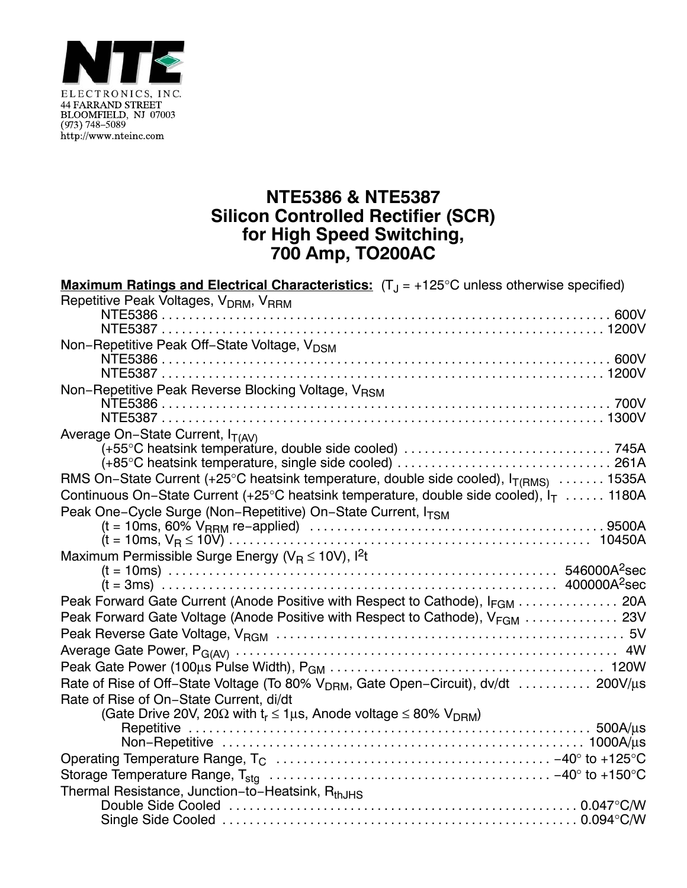

## **NTE5386 & NTE5387 Silicon Controlled Rectifier (SCR) for High Speed Switching, 700 Amp, TO200AC**

| <b>Maximum Ratings and Electrical Characteristics:</b> $(T_J = +125^{\circ}C$ unless otherwise specified) |
|-----------------------------------------------------------------------------------------------------------|
| Repetitive Peak Voltages, V <sub>DRM</sub> , V <sub>RRM</sub>                                             |
|                                                                                                           |
|                                                                                                           |
| Non-Repetitive Peak Off-State Voltage, V <sub>DSM</sub>                                                   |
|                                                                                                           |
|                                                                                                           |
| Non-Repetitive Peak Reverse Blocking Voltage, VRSM                                                        |
|                                                                                                           |
| Average On-State Current, I <sub>T(AV)</sub>                                                              |
|                                                                                                           |
|                                                                                                           |
| RMS On-State Current (+25°C heatsink temperature, double side cooled), I <sub>T(RMS)</sub> 1535A          |
| Continuous On-State Current (+25°C heatsink temperature, double side cooled), $I_T$ 1180A                 |
| Peak One-Cycle Surge (Non-Repetitive) On-State Current, I <sub>TSM</sub>                                  |
|                                                                                                           |
|                                                                                                           |
| Maximum Permissible Surge Energy ( $V_B \le 10V$ ), $l^2t$                                                |
|                                                                                                           |
|                                                                                                           |
| Peak Forward Gate Current (Anode Positive with Respect to Cathode), I <sub>FGM</sub> 20A                  |
| Peak Forward Gate Voltage (Anode Positive with Respect to Cathode), V <sub>FGM</sub> 23V                  |
|                                                                                                           |
|                                                                                                           |
|                                                                                                           |
| Rate of Rise of Off-State Voltage (To 80% V <sub>DRM</sub> , Gate Open-Circuit), dv/dt  200V/µs           |
| Rate of Rise of On-State Current, di/dt                                                                   |
| (Gate Drive 20V, 20 $\Omega$ with $t_r \le 1 \mu s$ , Anode voltage $\le 80\%$ V <sub>DRM</sub> )         |
|                                                                                                           |
|                                                                                                           |
|                                                                                                           |
|                                                                                                           |
| Thermal Resistance, Junction-to-Heatsink, R <sub>th.IHS</sub>                                             |
|                                                                                                           |
|                                                                                                           |